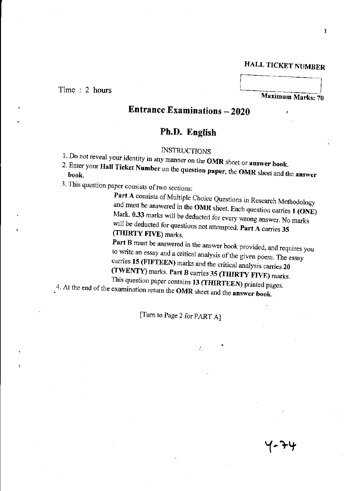## HALL TICKET NUMBER

#### Time : 2 hours

,

Maximum Marks: 70

# Entrance Examinations - 2020

## Ph.D. English

### **INSTRUCTIONS**

- 1. Do not reveal your identity in any manner on the OMR sheet or answer book.
- $\sim$  Enter your Hall Ticket Number on the question paper, the OMR sheet and the answers book.
- 3. This question paper consists of two sections:

Part A consists of Multiple Choice Questions in Research Methodology and must be answered in the OMR sheet. Each question carries 1 (ONE) Mark. 0.33 marks will be deducted for every wrong answer. No marks will be deducted for questions not attempted. Part A carries 35 (THIRTY FIVE) marks.

Part B must be answered in the answer book provided, and requires you to write an essay and a critical analysis of the given poem. The essay carries 15 (FIFTEEN) marks and the critical analysis carries 20 (TWENTY) marks. Part B carries 35 (THIRTY FIVE) marks.

This question paper contains 13 (THIRTEEN) printed pages. 4. At the end of the examination return the OMR sheet and the answer book.

[Turn to Page 2 for PART A]

′- ንሣ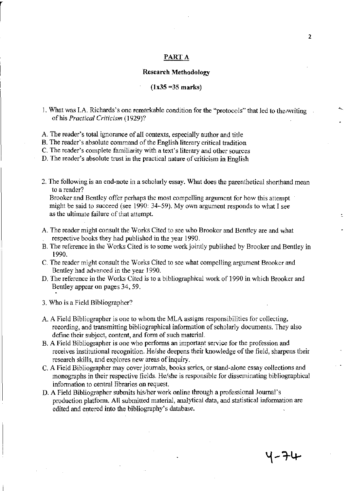#### PART A

#### **Research Methodology**

#### $(1x35 = 35 \text{ marks})$

1. What was I.A. Richards's one remarkable condition for the "protocols" that led to the writing of his *Practical Criticism* (1929)?

A. The reader's total ignorance of all contexts, especially author and title

B. The reader's absolute command of the English literary critical tradition

C. The reader's complete familiarity with a text's literary and other sources

D. The reader's absolute trust in the practical nature of criticism in English

2. The following is an end-note in a scholarly essay. What does the parenthetical shorthand mean to a reader?

Brooker and Bentley offer perhaps the most compelling argument for how this attempt might be said to succeed (see 1990: 34-59). My own argument responds to what I see as the ultimate failure of that attempt.

- A. The reader might consult the Works Cited to see who Brooker and Bentley are and what respective books they had published in the year 1990.
- B. The reference in the Works Cited is to some work jointly published by Brooker and Bentley in 1990.
- C. The reader might consult the Works Cited to see what compelling argument Brooker and Bentley had advanced in the year 1990.
- D. The reference in the Works Cited is to a bibliographical work of 1990 in which Brooker and Bentley appear on pages 34, 59.
- 3. Who is a Field Bibliographer?
- A. A Field Bibliographer is one to whom the MLA assigns responsibilities for collecting, recording, and transmitting bibliographical information of scholarly documents. They also defme their subject, content, and fonn of such material.
- B. A Field Bibliographer is one who performs an important service for the profession and receives institutional recognition. He/she deepens their knowledge of the field, sharpens their research skills, and explores new areas of inquiry.
- C. A Field Bibliographer may cover journals, books series, or stand-alone essay collections and monographs in their respective fields. He/she is responsible for disseminating bibliographical information to central libraries on request.
- D. A Field Bibliographer submits his/her work online through a professional Journal's production platform. All submitted material, analytical data, and statistical information are edited and entered into the bibliography's database.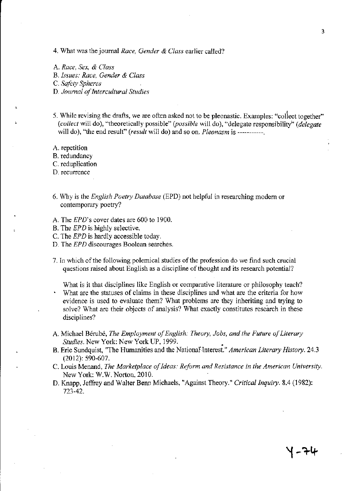- 4. What was the journal *Race, Gender* & *Class* earlier called?
- A. *Race, Sex,* & *Class*
- B. *hsues: Race, Gender* & *Class*

C. *Safety Spheres* 

- D. *Journal of Intercultural Studies*
- 5. While revising the drafts, we are often asked not to be pleonastic. Examples: "collect together" *(collect will do), "theoretically possible" (possible will do), "delegate responsibility" (delegate* will do), "the end result" *(result* will do) and so on. *Pleonasm* is -----------

A. repetition

B. redundancy

C. reduplication

D. recurrence

- 6. Why is the *English Poetry Database* (EPD) not helpful in researching modem or contemporary poetry?
- A. The *EPD's* cover dates are 600 to 1900.
- B. The *EPD* is highly selective.
- C. The *EPD* is hardly accessible today.
- D. The *EPD* discourages Boolean searches.
- 7. In which of the following polemical studies of the profession do we find such crucial questions raised about English as a discipline of thought and its research potential?
- What is it that disciplines like English or comparative literature or philosophy teach? What are the statuses of claims in these disciplines and what are the criteria for how evidence is used to evaluate them? What problems are they inheriting and trying to solve? What are their objects of analysis? What exactly constitutes research in these disciplines?
- A. Michael Berube, *The Employment of English: Theory, Jobs, and the Future of Literary Studies.* New York: New York UP, 1999. •
- B. Eric Sundquist, "The Humanities and the National Interest." *American Literary History*. 24.3 (2012): 590-607.
- C. Louis Menand, *The Marketplace of Ideas: Reform and Resistance in the American University.*  New York: W.W. Norton, 2010.
- D. Knapp, Jeffrey and Walter Benn Michaels, "Against Theory." *Critical Inquiry.* 8.4 (1982): 723-42.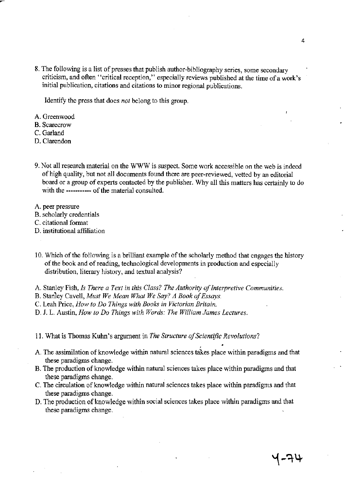8. The following is a list of presses that publish author~bibliography series, some secondary criticism, and often "critical reception," especially reviews published at the time of a work's initial publication, citations and citations to minor regional publications.

Identify the press that does *not* belong to this group.

- A. Greenwood
- B. Scarecrow
- C. Garland
- D. Clarendon
- 9. Not all research material on the WWWissuspect. Some work accessible on the web is indeed of high quality, but not all documents found there are peer-reviewed, vetted by an editorial board or a group of experts contacted by the publisher. Why all this matters has certainly to do with the ----------- of the material consulted.
- A. peer pressure
- B. scholarly credentials
- C. citational format
- D. institutional affiliation
- 10. Which of the following is a brilliant example of the scholarly method that engages the history of the book and of reading, technological developments in production and especially distribution, literary history, and textual analysis?
- A. Stanley Fish, *Is There a Text in this Class? The Authority of Interpretive Communities.*
- B. Stanley Cavell, *Must We Mean What We Say? A Book of Essays.*
- C. Leah Price, *How to Do Things with Books in Victorian Britain.*
- D. 1. L Austin, *How to Do Things with Words: The William James Lectures.*
- 11. What is Thomas Kuhn's argument in *The Structure of Scientific Revolutions?*
- A. The assimilation of knowledge within natural sciences takes place within paradigms and that these paradigms change.
- B. The production of knowledge within natural sciences takes place within paradigms and that these paradigms change. .
- C. The circulation of knowledge within natural sciences takes place within paradigms and that these paradigms change.
- D. The production of knowledge within social sciences takes place within paradigms and that these paradigms change.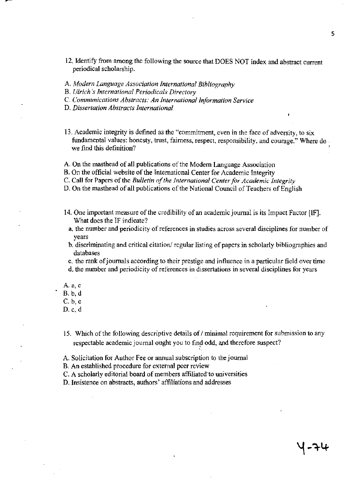- 12. Identify from among the following the source that DOES NOT index and abstract current periodical scholarship.
- A. *Modern Language Association International Bibliography*
- B. *Ulrich's international Periodicals Directory*
- C. *Communications Abstracts: An International Information Service*
- D. *Dissertation Abstracts International*
- 13. Academic integrity is defined as the "commitment, even in the face of adversity, to six fundamental values: honesty, trust, fairness, respect, responsibility, and courage." Where do we find this definition?
- A. On the masthead of all publications of the Modem Language Association
- B. On the official website of the International Center for Academic Integrity
- C. Call for Papers of the *Bulletin of the international Center for Academic Integrity*
- D. On the masthead of all publications of the National Council of Teachers of English
- 14. One important measure of the credibility of an academic journal is its Impact Factor [IF]. What does the IF indicate?
	- a. the number and periodicity of references in studies across several disciplines for number of years
	- b. discriminating and critical citation/regular listing of papers in scholarly bibliographies and databases
	- c. the rank of journals according to their prestige and influence in a particular field over time
	- d. the number and periodicity of references in dissertations in several disciplines for years
- A.a,c
- B.b,d
- c. b,c
- D. c, d
- 15. Which of the following descriptive details of / minimal requirement for submission to any respectable academic journal ought you to find odd, and therefore suspect?
- A. Solicitation for Author Fee or annual subscription to the journal
- B. An established procedure for external peer review
- C. A scholarly editorial board of members affiliated to universities
- D. Insistence on abstracts, authors' affiliations and addresses

( - 구나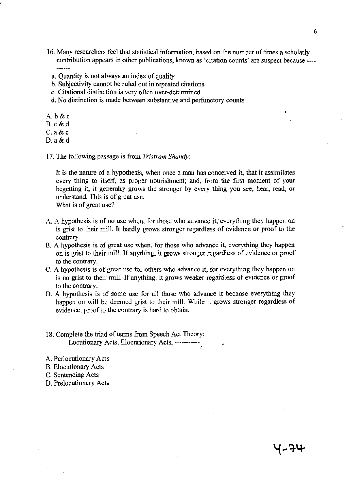- 16. Many researchers feel that statistical information, based on the number of times a scholarly contribution appears in other publications, known as 'citation counts' are suspect because ~---  $-0.0000$ 
	- a. Quantity is not always an index of quality
	- h. Subjectivity cannot be ruled out in repeated citations
	- c. Citational distinction is very often over-detennined
	- d. No distinction is made between substantive and perfunctory counts
- A. b&c
- B.c&d
- C.a&c
- D.a&d
- 17. The following passage is from *Tristram Shandy:*

It is the nature of a hypothesis, when once a man has conceived it, that it assimilates every thing to itself, as proper nourishment; and, from the first moment of your begetting it, it generally grows the stronger by every thing you see, hear, read, or understand. This is of great use.

What is of great use?

- A. A hypothesis is of no use when, for those who advance *it,* everything they happen on is grist to their mill. It hardly grows stronger regardless of evidence or proof to the contrary.
- B. A hypothesis is of great use when, for those who advance it, everything they happen on is grist to their mill. If anything, it grows stronger regardless of evidence or proof to the contrary.
- C. A hypothesis is of great use for others who advance it, for everything they happen on is no grist to their mill. If anything, it grows weaker regardless of evidence or proof to the contrary.
- D. A hypothesis is of some use for all those who advance it because everything they happen on will be deemed grist to their mill. While it grows stronger regardless of evidence, proof to the contrary is hard to obtain.
- 18. Complete the triad of terms from Speech Act Theory: Locutionary Acts, Illocutionary Acts, -----

A. Perlocutionary Acts

- B. Elocutionary Acts
- C. Sentencing Acts
- D. Prelocutionary Acts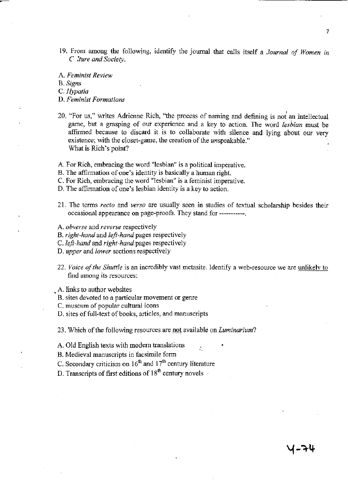19. From among the following, identify the *journal* that calls itself a *Journal of Women in C :ture and Society.* 

A. *Feminist Review* 

B. *Signs* 

*C.Hypatia* 

- D. *Feminist Formations*
- 20. "For us," writes Adrienne Rich, "the process of naming and defining is not an intellectual game, but a grasping of our experience and a key to action. The word *lesbian* must be affirmed because to discard it is to collaborate with silence and lying about our very existence; with the closet-game, the creation of the unspeakable." What is Rich's point?
- A. For Rich, embracing the word "lesbian" is a political imperative.
- B. The affirmation of one's identity is basically a human right
- C. For Rich, embracing the word "lesbian" is a feminist imperative.
- D. The affirmation of one's lesbian identity is a key to action.
- 21. The tenns *recto* and *verso* are usually seen in studies of textual scholarship besides their occasional appearance on page-proofs. They stand for -----------.
- A. *obverse* and *reverse* respectively
- B. *right-hand* and *left-hand* pages respectively
- C. *left-hand* and *right-hand* pages respectively
- D. *upper* and *lower* sections respectively
- *22. Voice a/the Shuttle* is an incredibly vast metasite. Identify a web-resource we are unlikely to find among its resources:
- A. links to author websites
- B. sites devoted to a particular movement or genre
- C. museum of popular cultural icons
- D. sites of full-text of books, articles, and manuscripts
- 23. Which of the following resources are not available on *Luminarium?*
- A. Old English texts with modem translations
- B. Medieval manuscripts in facsimile form
- C. Secondary criticism on  $16<sup>th</sup>$  and  $17<sup>th</sup>$  century literature
- D. Transcripts of first editions of  $18<sup>th</sup>$  century novels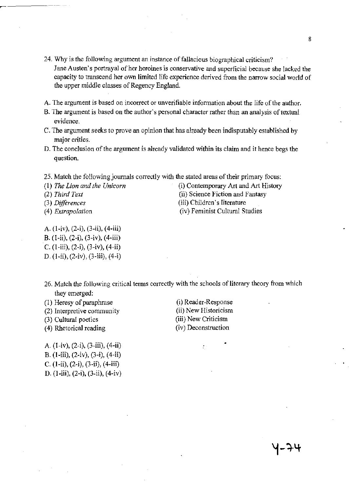- **24. Why is the following argument an instance of fallacious biographical criticism? Jane Austen's portrayal** of her **heroines is conservative and superficial because she lacked the capacity to transcend her own limited life experience derived from the narrow social world of the upper middle classes of Regency England.**
- A. The argument is based on incorrect or unverifiable information about the life of the author,
- **B.** The argument is based on the author's personal character rather than an analysis of textual **evidence.**
- **C. The argument seeks to prove an opinion that has already been indisputably established by major critics.**
- **D. The conclusion** of the **argument is already validated within its claim and it hence begs the question.**
- **25. Match the** following journals **correctly with the stated areas** of their **primary focus:**
- 
- 
- 
- 
- (I) *The Lion and the Unicorn* (i) Contemporary Art and Art History *(2) Third Text* (ii) Science Fiction and Fantasy *(3) Differences* (iii) Children's literature *(4) Extrapolation* **(iv) Feminist Cultural Studies**
- A. (l-iv), (2-i), (3-ii), (4-iii)
- B. (l-ii), (2-i), (3-iv), (4-iii)
- C.  $(1-iii)$ ,  $(2-i)$ ,  $(3-iv)$ ,  $(4-ii)$
- D. (l-ii), (2-iv), (3-iii), (4-i)
- 26. Match the following critical terms correctly with the schools of literary theory from which they emerged:
- (I) Heresy of paraphrase
- **(2) Interpretive community**
- (3) Cultural poetics
- (4) Rhetorical reading

(i) Reader-Response **(ii) New Historicism (iii) New Criticism (iv) Deconstruction** 

÷.

A. (l-iv), (2-i), (3-iii), (4-ii) B. (I-iii), (2-iv), (3-i), (4-ii) C. (l-ii), (2-i), (3-ii), (4-iii) D. (I-iii), (2-i), (3-ii), (4-iv)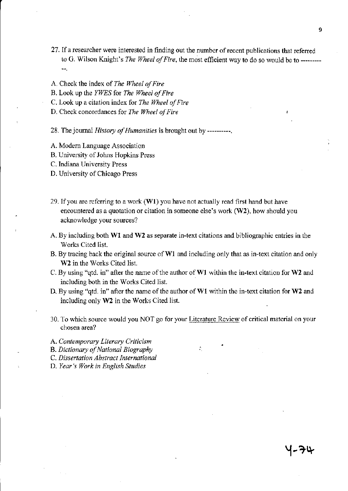- 27. If a researcher were interested in finding out the number of recent publications that referred to G. Wilson Knight's *The Wheel of Fire,* the most efficient way to do so would be to --------- --,
- A. Check the index of *The WheelofFire*
- B. Look up the *YWES* for *The Wheel of Fire*
- C. Look up a citation index for *The Wheel of Fire*
- D. Check concordances for *The Wheel of Fire*
- 28. The journal *History of Humanities* is brought out by ----------,
- A. Modern Language Association
- B. University of lohns Hopkins Press
- C. Indiana University Press
- D. University of Chicago Press
- 29. If you are referring to a work (WI) you have not actually read first hand but have encountered as a quotation or citation in someone else's work (W2), how should you acknowledge your sources?
- A By including both WI and W2 as separate in-text citations and bibliographic entries in the Works Cited list.
- B. By tracing back the original source of WI and including only that as in-text citation and only W<sub>2</sub> in the Works Cited list.
- C. By using "qtd. in" after the name of the author of WI within the in-text citation for W2 and including both in the Works Cited list.
- D. By using "qtd. in" after the name of the author of WI within the in-text citation for W2 and including only W2 in the Works Cited list.
- 30. To which source would you NOT go for your Literature Review of critical material on your chosen area?
- A. *Contemporary Literary Criticism*
- B. *Dictionary of National Biography*
- C. *Dissertation Abstract International*
- D. *Year's Work in English Studies*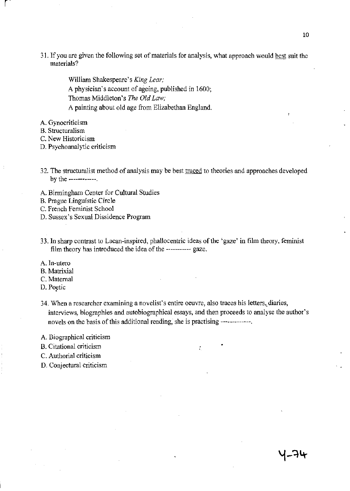31. If you are given the following set of materials for analysis, what approach would best suit the materials?

> William Shakespeare's *King Lear;*  A physician's account of ageing, published in 1600; Thomas Middleton's *The Old Law;*  A painting about old age from Elizabethan England.

A. Gynocriticism

l,

- B. Structuralism
- C. New Historicism
- D. Psychoanalytic criticism
- 32. The structuralist method of analysis may be best traced to theories and approaches developed by the ------------.
- A. Birmingham Center for Cultural Studies
- B. Prague Linguistic Circle
- C. French Feminist School
- D. Sussex's Sexual Dissidence Program
- 33. In sharp contrast to Lacan-inspired, phallocentric ideas of the 'gaze' in film theory, feminist film theory has introduced the idea of the ----------- gaze.
- A. In-utero
- B. Matrixial
- C. Maternal
- D. Poetic
- 34. When a researcher examining a novelist's entire oeuvre, also traces his letters, diaries, interviews, biographies and autobiographical essays, and then proceeds to analyse the author's novels on the basis of this additional reading, she is practising -------------

÷.

- A. Biographical criticism
- B. Citational criticism
- C, Authorial criticism
- D. Conjectural criticism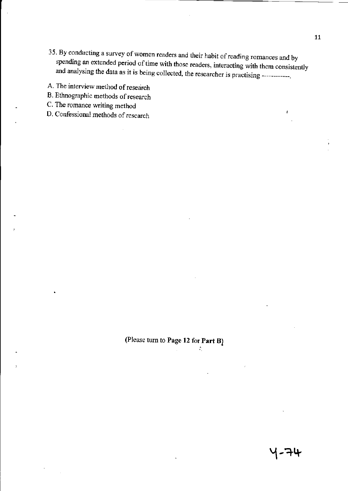35. By conducting a survey of women readers and their habit of reading romances and by spending an extended period of time with those readers, interacting with them consistently and analysing the data as it is being collected, the researcher is practising ------------.

A. The interview method of research

B. Ethnographic methods of research

C. The romance writing method

D. Confessional methods of research

(Please turn to Page 12 for Part B)

- 74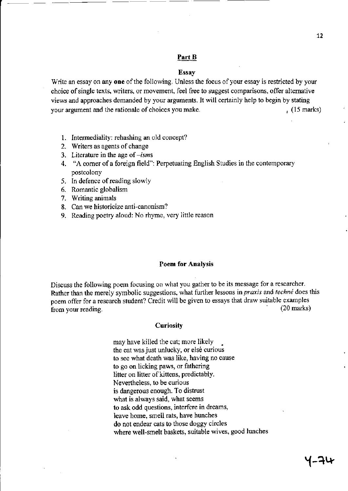#### Part B

- ----

#### Essay

Write an essay on any one of the following. Unless the focus of your essay is restricted by your choice of single texts, writers, or movement, feel free to suggest comparisons, offer alternative views and approaches demanded by your arguments. It will certainly help to begin by stating your argument and the rationale of choices you make. (15 marks)

- 1. Intermediality: rehashing an old concept?
- 2. Writers as agents of change
- 3. Literature in the age of *-isms*
- 4. ~'A comer of a foreign field": Perpetuating English Studies in the contemporary postcolony
- 5. In defence of reading slowly
- 6. Romantic globalism
- 7. Writing animals
- 8. Can we historicize anti-canonism?
- 9. Reading poetry aloud: No rhyme, very little reason

#### Poem for Analysis

Discuss the following poem focusing on what you gather to be its message for a researcher. Rather than the merely symbolic suggestions, what further lessons in *praxis* and *techne* does this poem offer for a research student? Credit will be given to essays that draw suitable examples from your reading. (20 marks)

#### **Curiosity**

may have killed the cat; more likely • the cat was just unlucky, or else curious to see what death was like, having no cause to go on licking paws, or fathering litter on litter of kittens, predictably. Nevertheless, to be curious is dangerous enough. To distrust what is always said, what seems to ask odd questions, interfere in dreams, leave home, smell rats, have hunches do not endear cats to those doggy circles where well-smelt baskets, suitable wives, good lunches